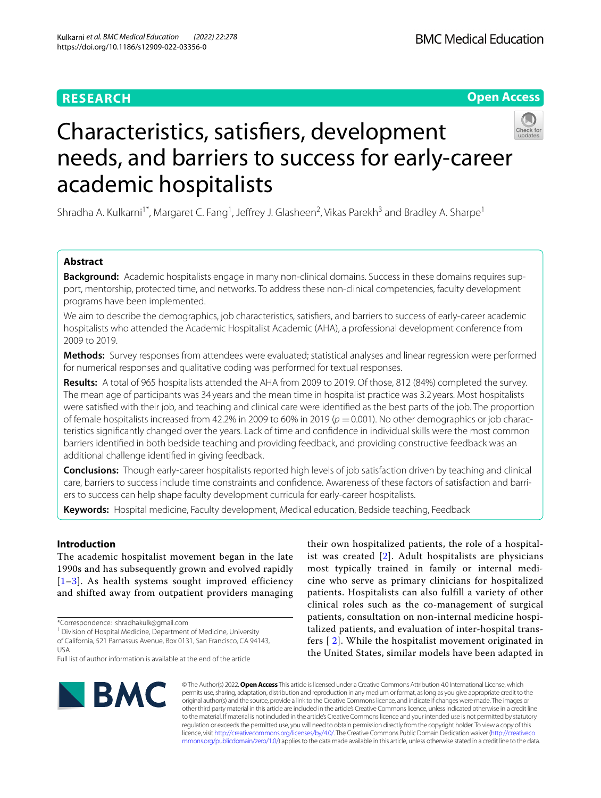# **RESEARCH**





# Characteristics, satisfers, development needs, and barriers to success for early-career academic hospitalists

Shradha A. Kulkarni<sup>1\*</sup>, Margaret C. Fang<sup>1</sup>, Jeffrey J. Glasheen<sup>2</sup>, Vikas Parekh<sup>3</sup> and Bradley A. Sharpe<sup>1</sup>

# **Abstract**

**Background:** Academic hospitalists engage in many non-clinical domains. Success in these domains requires support, mentorship, protected time, and networks. To address these non-clinical competencies, faculty development programs have been implemented.

We aim to describe the demographics, job characteristics, satisfers, and barriers to success of early-career academic hospitalists who attended the Academic Hospitalist Academic (AHA), a professional development conference from 2009 to 2019.

**Methods:** Survey responses from attendees were evaluated; statistical analyses and linear regression were performed for numerical responses and qualitative coding was performed for textual responses.

**Results:** A total of 965 hospitalists attended the AHA from 2009 to 2019. Of those, 812 (84%) completed the survey. The mean age of participants was 34 years and the mean time in hospitalist practice was 3.2 years. Most hospitalists were satisfed with their job, and teaching and clinical care were identifed as the best parts of the job. The proportion of female hospitalists increased from 42.2% in 2009 to 60% in 2019 (*p* =0.001). No other demographics or job characteristics signifcantly changed over the years. Lack of time and confdence in individual skills were the most common barriers identifed in both bedside teaching and providing feedback, and providing constructive feedback was an additional challenge identifed in giving feedback.

**Conclusions:** Though early-career hospitalists reported high levels of job satisfaction driven by teaching and clinical care, barriers to success include time constraints and confdence. Awareness of these factors of satisfaction and barriers to success can help shape faculty development curricula for early-career hospitalists.

**Keywords:** Hospital medicine, Faculty development, Medical education, Bedside teaching, Feedback

# **Introduction**

The academic hospitalist movement began in the late 1990s and has subsequently grown and evolved rapidly  $[1-3]$  $[1-3]$  $[1-3]$ . As health systems sought improved efficiency and shifted away from outpatient providers managing

\*Correspondence: shradhakulk@gmail.com

<sup>1</sup> Division of Hospital Medicine, Department of Medicine, University of California, 521 Parnassus Avenue, Box 0131, San Francisco, CA 94143, USA

their own hospitalized patients, the role of a hospitalist was created [\[2\]](#page-5-2). Adult hospitalists are physicians most typically trained in family or internal medicine who serve as primary clinicians for hospitalized patients. Hospitalists can also fulfill a variety of other clinical roles such as the co-management of surgical patients, consultation on non-internal medicine hospitalized patients, and evaluation of inter-hospital transfers [ [2](#page-5-2)]. While the hospitalist movement originated in the United States, similar models have been adapted in



© The Author(s) 2022. **Open Access** This article is licensed under a Creative Commons Attribution 4.0 International License, which permits use, sharing, adaptation, distribution and reproduction in any medium or format, as long as you give appropriate credit to the original author(s) and the source, provide a link to the Creative Commons licence, and indicate if changes were made. The images or other third party material in this article are included in the article's Creative Commons licence, unless indicated otherwise in a credit line to the material. If material is not included in the article's Creative Commons licence and your intended use is not permitted by statutory regulation or exceeds the permitted use, you will need to obtain permission directly from the copyright holder. To view a copy of this licence, visit [http://creativecommons.org/licenses/by/4.0/.](http://creativecommons.org/licenses/by/4.0/) The Creative Commons Public Domain Dedication waiver ([http://creativeco](http://creativecommons.org/publicdomain/zero/1.0/) [mmons.org/publicdomain/zero/1.0/](http://creativecommons.org/publicdomain/zero/1.0/)) applies to the data made available in this article, unless otherwise stated in a credit line to the data.

Full list of author information is available at the end of the article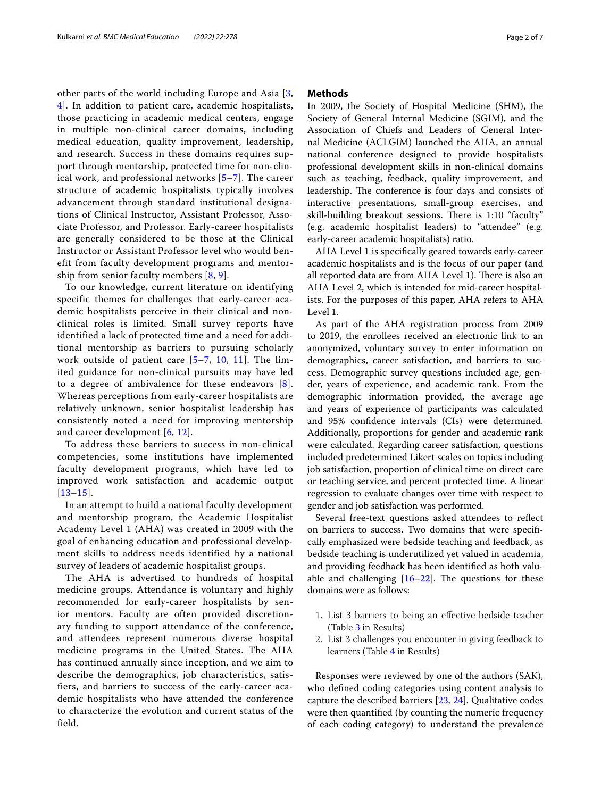other parts of the world including Europe and Asia [\[3](#page-5-1), [4\]](#page-5-3). In addition to patient care, academic hospitalists, those practicing in academic medical centers, engage in multiple non-clinical career domains, including medical education, quality improvement, leadership, and research. Success in these domains requires support through mentorship, protected time for non-clinical work, and professional networks [[5–](#page-6-0)[7](#page-6-1)]. The career structure of academic hospitalists typically involves advancement through standard institutional designations of Clinical Instructor, Assistant Professor, Associate Professor, and Professor. Early-career hospitalists are generally considered to be those at the Clinical Instructor or Assistant Professor level who would benefit from faculty development programs and mentorship from senior faculty members [\[8](#page-6-2), [9](#page-6-3)].

To our knowledge, current literature on identifying specific themes for challenges that early-career academic hospitalists perceive in their clinical and nonclinical roles is limited. Small survey reports have identified a lack of protected time and a need for additional mentorship as barriers to pursuing scholarly work outside of patient care  $[5-7, 10, 11]$  $[5-7, 10, 11]$  $[5-7, 10, 11]$  $[5-7, 10, 11]$  $[5-7, 10, 11]$  $[5-7, 10, 11]$ . The limited guidance for non-clinical pursuits may have led to a degree of ambivalence for these endeavors [[8\]](#page-6-2). Whereas perceptions from early-career hospitalists are relatively unknown, senior hospitalist leadership has consistently noted a need for improving mentorship and career development [\[6](#page-6-6), [12\]](#page-6-7).

To address these barriers to success in non-clinical competencies, some institutions have implemented faculty development programs, which have led to improved work satisfaction and academic output  $[13-15]$  $[13-15]$  $[13-15]$ .

In an attempt to build a national faculty development and mentorship program, the Academic Hospitalist Academy Level 1 (AHA) was created in 2009 with the goal of enhancing education and professional development skills to address needs identified by a national survey of leaders of academic hospitalist groups.

The AHA is advertised to hundreds of hospital medicine groups. Attendance is voluntary and highly recommended for early-career hospitalists by senior mentors. Faculty are often provided discretionary funding to support attendance of the conference, and attendees represent numerous diverse hospital medicine programs in the United States. The AHA has continued annually since inception, and we aim to describe the demographics, job characteristics, satisfiers, and barriers to success of the early-career academic hospitalists who have attended the conference to characterize the evolution and current status of the field.

# **Methods**

In 2009, the Society of Hospital Medicine (SHM), the Society of General Internal Medicine (SGIM), and the Association of Chiefs and Leaders of General Internal Medicine (ACLGIM) launched the AHA, an annual national conference designed to provide hospitalists professional development skills in non-clinical domains such as teaching, feedback, quality improvement, and leadership. The conference is four days and consists of interactive presentations, small-group exercises, and skill-building breakout sessions. There is 1:10 "faculty" (e.g. academic hospitalist leaders) to "attendee" (e.g. early-career academic hospitalists) ratio.

AHA Level 1 is specifcally geared towards early-career academic hospitalists and is the focus of our paper (and all reported data are from AHA Level 1). There is also an AHA Level 2, which is intended for mid-career hospitalists. For the purposes of this paper, AHA refers to AHA Level 1.

As part of the AHA registration process from 2009 to 2019, the enrollees received an electronic link to an anonymized, voluntary survey to enter information on demographics, career satisfaction, and barriers to success. Demographic survey questions included age, gender, years of experience, and academic rank. From the demographic information provided, the average age and years of experience of participants was calculated and 95% confdence intervals (CIs) were determined. Additionally, proportions for gender and academic rank were calculated. Regarding career satisfaction, questions included predetermined Likert scales on topics including job satisfaction, proportion of clinical time on direct care or teaching service, and percent protected time. A linear regression to evaluate changes over time with respect to gender and job satisfaction was performed.

Several free-text questions asked attendees to refect on barriers to success. Two domains that were specifcally emphasized were bedside teaching and feedback, as bedside teaching is underutilized yet valued in academia, and providing feedback has been identifed as both valuable and challenging  $[16–22]$  $[16–22]$  $[16–22]$  $[16–22]$ . The questions for these domains were as follows:

- 1. List 3 barriers to being an efective bedside teacher (Table [3](#page-3-0) in Results)
- 2. List 3 challenges you encounter in giving feedback to learners (Table [4](#page-4-0) in Results)

Responses were reviewed by one of the authors (SAK), who defned coding categories using content analysis to capture the described barriers [\[23](#page-6-12), [24](#page-6-13)]. Qualitative codes were then quantifed (by counting the numeric frequency of each coding category) to understand the prevalence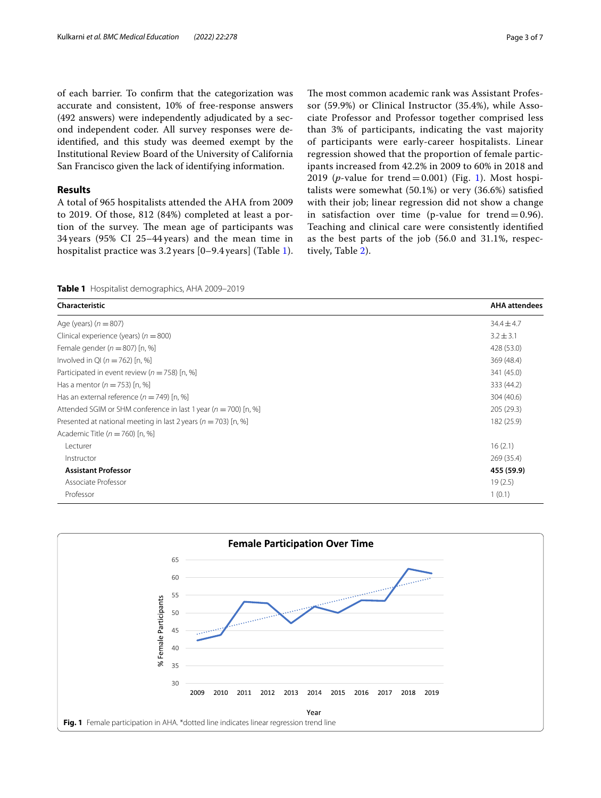of each barrier. To confrm that the categorization was accurate and consistent, 10% of free-response answers (492 answers) were independently adjudicated by a second independent coder. All survey responses were deidentifed, and this study was deemed exempt by the Institutional Review Board of the University of California San Francisco given the lack of identifying information.

## **Results**

A total of 965 hospitalists attended the AHA from 2009 to 2019. Of those, 812 (84%) completed at least a portion of the survey. The mean age of participants was 34 years (95% CI 25–44 years) and the mean time in hospitalist practice was 3.2 years [0–9.4 years] (Table [1\)](#page-2-0). The most common academic rank was Assistant Professor (59.9%) or Clinical Instructor (35.4%), while Associate Professor and Professor together comprised less than 3% of participants, indicating the vast majority of participants were early-career hospitalists. Linear regression showed that the proportion of female participants increased from 42.2% in 2009 to 60% in 2018 and 2019 (*p*-value for trend=0.00[1\)](#page-2-1) (Fig. 1). Most hospitalists were somewhat (50.1%) or very (36.6%) satisfed with their job; linear regression did not show a change in satisfaction over time (p-value for trend  $= 0.96$ ). Teaching and clinical care were consistently identifed as the best parts of the job (56.0 and 31.1%, respectively, Table [2](#page-3-1)).

# <span id="page-2-0"></span>**Table 1** Hospitalist demographics, AHA 2009–2019

| Characteristic                                                      | <b>AHA</b> attendees |
|---------------------------------------------------------------------|----------------------|
| Age (years) $(n = 807)$                                             | $34.4 \pm 4.7$       |
| Clinical experience (years) ( $n = 800$ )                           | $3.2 \pm 3.1$        |
| Female gender ( $n = 807$ ) [n, %]                                  | 428 (53.0)           |
| Involved in QI ( $n = 762$ ) [n, %]                                 | 369 (48.4)           |
| Participated in event review ( $n = 758$ ) [n, %]                   | 341 (45.0)           |
| Has a mentor $(n = 753)$ [n, %]                                     | 333 (44.2)           |
| Has an external reference ( $n = 749$ ) [n, %]                      | 304 (40.6)           |
| Attended SGIM or SHM conference in last 1 year ( $n = 700$ ) [n, %] | 205 (29.3)           |
| Presented at national meeting in last 2 years ( $n = 703$ ) [n, %]  | 182 (25.9)           |
| Academic Title ( $n = 760$ ) [n, %]                                 |                      |
| Lecturer                                                            | 16(2.1)              |
| Instructor                                                          | 269 (35.4)           |
| <b>Assistant Professor</b>                                          | 455 (59.9)           |
| Associate Professor                                                 | 19(2.5)              |
| Professor                                                           | 1(0.1)               |

<span id="page-2-1"></span>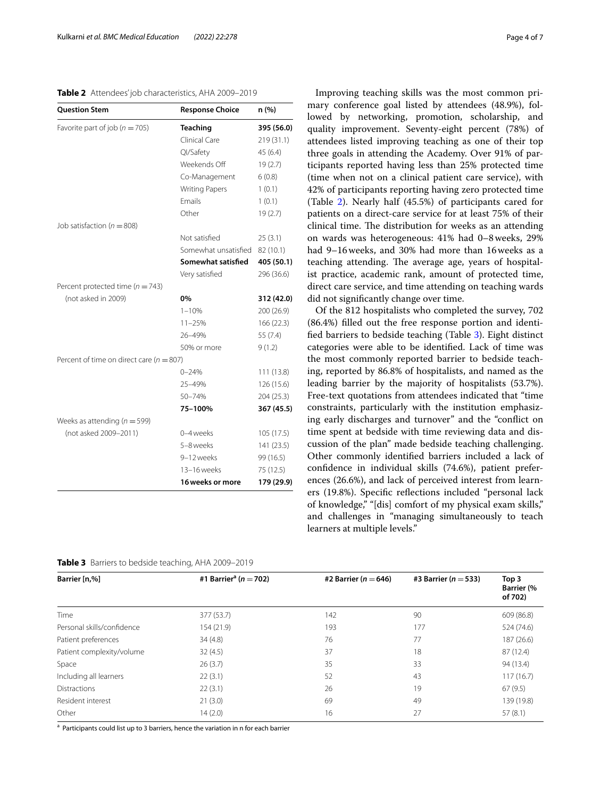# <span id="page-3-1"></span>**Table 2** Attendees' job characteristics, AHA 2009–2019

| <b>Ouestion Stem</b>                         | <b>Response Choice</b> | n (%)      |
|----------------------------------------------|------------------------|------------|
| Favorite part of job ( $n = 705$ )           | <b>Teaching</b>        | 395 (56.0) |
|                                              | Clinical Care          | 219 (31.1) |
|                                              | Ql/Safety              | 45(6.4)    |
|                                              | Weekends Off           | 19(2.7)    |
|                                              | Co-Management          | 6(0.8)     |
|                                              | <b>Writing Papers</b>  | 1(0.1)     |
|                                              | <b>Emails</b>          | 1(0.1)     |
|                                              | Other                  | 19(2.7)    |
| Job satisfaction ( $n = 808$ )               |                        |            |
|                                              | Not satisfied          | 25(3.1)    |
|                                              | Somewhat unsatisfied   | 82 (10.1)  |
|                                              | Somewhat satisfied     | 405 (50.1) |
|                                              | Very satisfied         | 296 (36.6) |
| Percent protected time ( $n = 743$ )         |                        |            |
| (not asked in 2009)                          | 0%                     | 312 (42.0) |
|                                              | $1 - 10%$              | 200 (26.9) |
|                                              | $11 - 25%$             | 166(22.3)  |
|                                              | 26-49%                 | 55(7.4)    |
|                                              | 50% or more            | 9(1.2)     |
| Percent of time on direct care ( $n = 807$ ) |                        |            |
|                                              | $0 - 24%$              | 111 (13.8) |
|                                              | 25-49%                 | 126 (15.6) |
|                                              | 50-74%                 | 204 (25.3) |
|                                              | 75-100%                | 367 (45.5) |
| Weeks as attending ( $n = 599$ )             |                        |            |
| (not asked 2009-2011)                        | 0-4 weeks              | 105 (17.5) |
|                                              | 5-8 weeks              | 141 (23.5) |
|                                              | 9-12 weeks             | 99 (16.5)  |
|                                              | 13-16 weeks            | 75 (12.5)  |
|                                              | 16 weeks or more       | 179 (29.9) |

<span id="page-3-0"></span>

|  | Table 3 Barriers to bedside teaching, AHA 2009-2019 |  |  |  |  |  |
|--|-----------------------------------------------------|--|--|--|--|--|
|--|-----------------------------------------------------|--|--|--|--|--|

Improving teaching skills was the most common primary conference goal listed by attendees (48.9%), followed by networking, promotion, scholarship, and quality improvement. Seventy-eight percent (78%) of attendees listed improving teaching as one of their top three goals in attending the Academy. Over 91% of participants reported having less than 25% protected time (time when not on a clinical patient care service), with 42% of participants reporting having zero protected time (Table [2](#page-3-1)). Nearly half (45.5%) of participants cared for patients on a direct-care service for at least 75% of their clinical time. The distribution for weeks as an attending on wards was heterogeneous: 41% had 0–8weeks, 29% had 9–16weeks, and 30% had more than 16weeks as a teaching attending. The average age, years of hospitalist practice, academic rank, amount of protected time, direct care service, and time attending on teaching wards did not signifcantly change over time.

Of the 812 hospitalists who completed the survey, 702 (86.4%) flled out the free response portion and identifed barriers to bedside teaching (Table [3\)](#page-3-0). Eight distinct categories were able to be identifed. Lack of time was the most commonly reported barrier to bedside teaching, reported by 86.8% of hospitalists, and named as the leading barrier by the majority of hospitalists (53.7%). Free-text quotations from attendees indicated that "time constraints, particularly with the institution emphasizing early discharges and turnover" and the "confict on time spent at bedside with time reviewing data and discussion of the plan" made bedside teaching challenging. Other commonly identifed barriers included a lack of confdence in individual skills (74.6%), patient preferences (26.6%), and lack of perceived interest from learners (19.8%). Specifc refections included "personal lack of knowledge," "[dis] comfort of my physical exam skills," and challenges in "managing simultaneously to teach learners at multiple levels."

| Barrier [n,%]              | #1 Barrier <sup>a</sup> ( <i>n</i> = 702) | #2 Barrier ( $n = 646$ ) | #3 Barrier ( $n = 533$ ) | Top 3                        |
|----------------------------|-------------------------------------------|--------------------------|--------------------------|------------------------------|
|                            |                                           |                          |                          | <b>Barrier (%</b><br>of 702) |
| Time                       | 377 (53.7)                                | 142                      | 90                       | 609 (86.8)                   |
| Personal skills/confidence | 154 (21.9)                                | 193                      | 177                      | 524 (74.6)                   |
| Patient preferences        | 34(4.8)                                   | 76                       | 77                       | 187 (26.6)                   |
| Patient complexity/volume  | 32(4.5)                                   | 37                       | 18                       | 87 (12.4)                    |
| Space                      | 26(3.7)                                   | 35                       | 33                       | 94 (13.4)                    |
| Including all learners     | 22(3.1)                                   | 52                       | 43                       | 117(16.7)                    |
| <b>Distractions</b>        | 22(3.1)                                   | 26                       | 19                       | 67(9.5)                      |
| Resident interest          | 21(3.0)                                   | 69                       | 49                       | 139 (19.8)                   |
| Other                      | 14(2.0)                                   | 16                       | 27                       | 57(8.1)                      |

<sup>a</sup> Participants could list up to 3 barriers, hence the variation in n for each barrier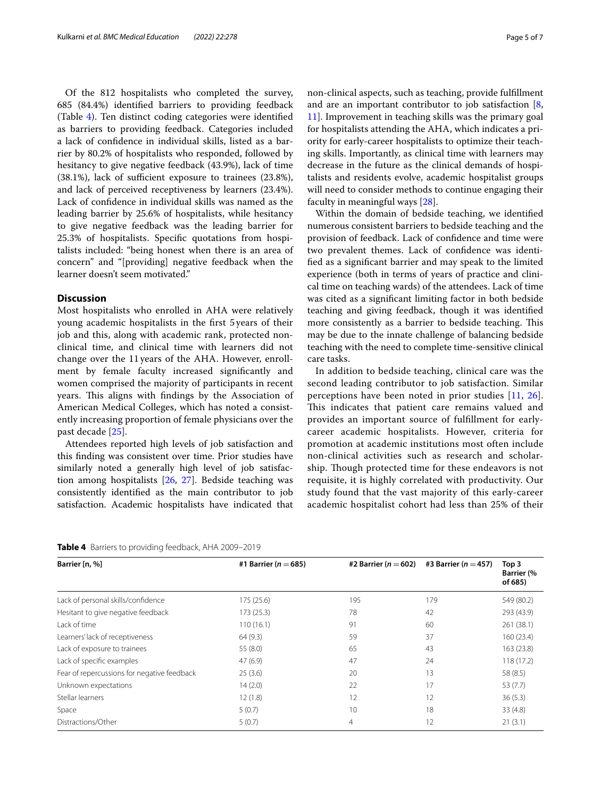Of the 812 hospitalists who completed the survey, 685 (84.4%) identifed barriers to providing feedback (Table [4\)](#page-4-0). Ten distinct coding categories were identifed as barriers to providing feedback. Categories included a lack of confdence in individual skills, listed as a barrier by 80.2% of hospitalists who responded, followed by hesitancy to give negative feedback (43.9%), lack of time  $(38.1\%)$ , lack of sufficient exposure to trainees  $(23.8\%)$ , and lack of perceived receptiveness by learners (23.4%). Lack of confdence in individual skills was named as the leading barrier by 25.6% of hospitalists, while hesitancy to give negative feedback was the leading barrier for 25.3% of hospitalists. Specifc quotations from hospitalists included: "being honest when there is an area of concern" and "[providing] negative feedback when the learner doesn't seem motivated."

# **Discussion**

Most hospitalists who enrolled in AHA were relatively young academic hospitalists in the frst 5 years of their job and this, along with academic rank, protected nonclinical time, and clinical time with learners did not change over the 11 years of the AHA. However, enrollment by female faculty increased signifcantly and women comprised the majority of participants in recent years. This aligns with findings by the Association of American Medical Colleges, which has noted a consistently increasing proportion of female physicians over the past decade [[25\]](#page-6-14).

Attendees reported high levels of job satisfaction and this fnding was consistent over time. Prior studies have similarly noted a generally high level of job satisfaction among hospitalists [[26](#page-6-15), [27\]](#page-6-16). Bedside teaching was consistently identifed as the main contributor to job satisfaction. Academic hospitalists have indicated that non-clinical aspects, such as teaching, provide fulfllment and are an important contributor to job satisfaction [\[8](#page-6-2), [11\]](#page-6-5). Improvement in teaching skills was the primary goal for hospitalists attending the AHA, which indicates a priority for early-career hospitalists to optimize their teaching skills. Importantly, as clinical time with learners may decrease in the future as the clinical demands of hospitalists and residents evolve, academic hospitalist groups will need to consider methods to continue engaging their faculty in meaningful ways [\[28\]](#page-6-17).

Within the domain of bedside teaching, we identifed numerous consistent barriers to bedside teaching and the provision of feedback. Lack of confdence and time were two prevalent themes. Lack of confdence was identifed as a signifcant barrier and may speak to the limited experience (both in terms of years of practice and clinical time on teaching wards) of the attendees. Lack of time was cited as a signifcant limiting factor in both bedside teaching and giving feedback, though it was identifed more consistently as a barrier to bedside teaching. This may be due to the innate challenge of balancing bedside teaching with the need to complete time-sensitive clinical care tasks.

In addition to bedside teaching, clinical care was the second leading contributor to job satisfaction. Similar perceptions have been noted in prior studies [[11,](#page-6-5) [26](#page-6-15)]. This indicates that patient care remains valued and provides an important source of fulfllment for earlycareer academic hospitalists. However, criteria for promotion at academic institutions most often include non-clinical activities such as research and scholarship. Though protected time for these endeavors is not requisite, it is highly correlated with productivity. Our study found that the vast majority of this early-career academic hospitalist cohort had less than 25% of their

<span id="page-4-0"></span>

|  |  |  |  | Table 4 Barriers to providing feedback, AHA 2009-2019 |
|--|--|--|--|-------------------------------------------------------|
|--|--|--|--|-------------------------------------------------------|

| Barrier [n, %]                              | #1 Barrier ( $n = 685$ ) | #2 Barrier ( $n = 602$ ) | #3 Barrier ( $n = 457$ ) | Top 3<br><b>Barrier</b> (%<br>of 685) |
|---------------------------------------------|--------------------------|--------------------------|--------------------------|---------------------------------------|
| Lack of personal skills/confidence          | 175(25.6)                | 195                      | 179                      | 549 (80.2)                            |
| Hesitant to give negative feedback          | 173(25.3)                | 78                       | 42                       | 293 (43.9)                            |
| Lack of time                                | 110(16.1)                | 91                       | 60                       | 261 (38.1)                            |
| Learners' lack of receptiveness             | 64(9.3)                  | 59                       | 37                       | 160 (23.4)                            |
| Lack of exposure to trainees                | 55 (8.0)                 | 65                       | 43                       | 163 (23.8)                            |
| Lack of specific examples                   | 47(6.9)                  | 47                       | 24                       | 118(17.2)                             |
| Fear of repercussions for negative feedback | 25(3.6)                  | 20                       | 13                       | 58 (8.5)                              |
| Unknown expectations                        | 14(2.0)                  | 22                       | 17                       | 53(7.7)                               |
| Stellar learners                            | 12(1.8)                  | 12                       | 12                       | 36(5.3)                               |
| Space                                       | 5(0.7)                   | 10                       | 18                       | 33(4.8)                               |
| Distractions/Other                          | 5(0.7)                   | $\overline{4}$           | 12                       | 21(3.1)                               |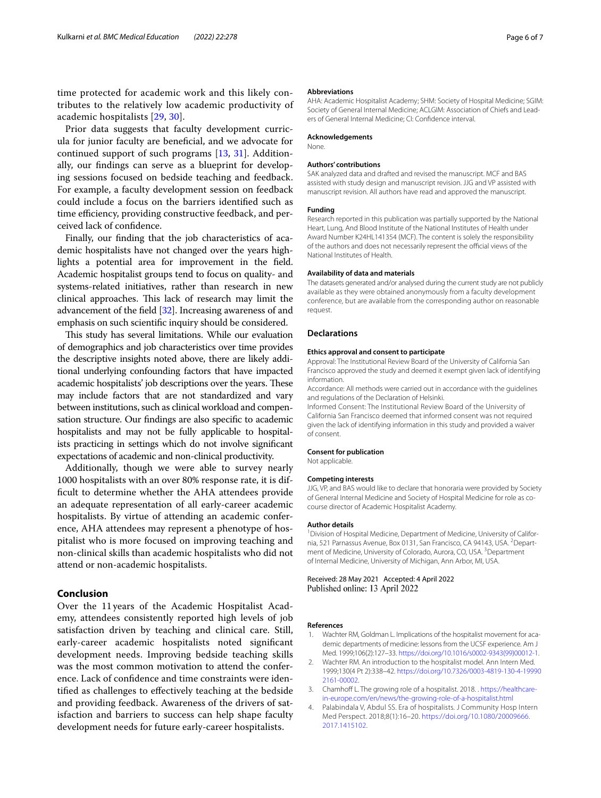time protected for academic work and this likely contributes to the relatively low academic productivity of academic hospitalists [[29,](#page-6-18) [30\]](#page-6-19).

Prior data suggests that faculty development curricula for junior faculty are benefcial, and we advocate for continued support of such programs [\[13](#page-6-8), [31\]](#page-6-20). Additionally, our fndings can serve as a blueprint for developing sessions focused on bedside teaching and feedback. For example, a faculty development session on feedback could include a focus on the barriers identifed such as time efficiency, providing constructive feedback, and perceived lack of confdence.

Finally, our fnding that the job characteristics of academic hospitalists have not changed over the years highlights a potential area for improvement in the feld. Academic hospitalist groups tend to focus on quality- and systems-related initiatives, rather than research in new clinical approaches. This lack of research may limit the advancement of the feld [[32](#page-6-21)]. Increasing awareness of and emphasis on such scientifc inquiry should be considered.

This study has several limitations. While our evaluation of demographics and job characteristics over time provides the descriptive insights noted above, there are likely additional underlying confounding factors that have impacted academic hospitalists' job descriptions over the years. These may include factors that are not standardized and vary between institutions, such as clinical workload and compensation structure. Our fndings are also specifc to academic hospitalists and may not be fully applicable to hospitalists practicing in settings which do not involve signifcant expectations of academic and non-clinical productivity.

Additionally, though we were able to survey nearly 1000 hospitalists with an over 80% response rate, it is diffcult to determine whether the AHA attendees provide an adequate representation of all early-career academic hospitalists. By virtue of attending an academic conference, AHA attendees may represent a phenotype of hospitalist who is more focused on improving teaching and non-clinical skills than academic hospitalists who did not attend or non-academic hospitalists.

# **Conclusion**

Over the 11 years of the Academic Hospitalist Academy, attendees consistently reported high levels of job satisfaction driven by teaching and clinical care. Still, early-career academic hospitalists noted signifcant development needs. Improving bedside teaching skills was the most common motivation to attend the conference. Lack of confdence and time constraints were identifed as challenges to efectively teaching at the bedside and providing feedback. Awareness of the drivers of satisfaction and barriers to success can help shape faculty development needs for future early-career hospitalists.

#### **Abbreviations**

AHA: Academic Hospitalist Academy; SHM: Society of Hospital Medicine; SGIM: Society of General Internal Medicine; ACLGIM: Association of Chiefs and Leaders of General Internal Medicine; CI: Confdence interval.

#### **Acknowledgements**

None.

#### **Authors' contributions**

SAK analyzed data and drafted and revised the manuscript. MCF and BAS assisted with study design and manuscript revision. JJG and VP assisted with manuscript revision. All authors have read and approved the manuscript.

#### **Funding**

Research reported in this publication was partially supported by the National Heart, Lung, And Blood Institute of the National Institutes of Health under Award Number K24HL141354 (MCF). The content is solely the responsibility of the authors and does not necessarily represent the official views of the National Institutes of Health.

#### **Availability of data and materials**

The datasets generated and/or analysed during the current study are not publicly available as they were obtained anonymously from a faculty development conference, but are available from the corresponding author on reasonable request.

#### **Declarations**

#### **Ethics approval and consent to participate**

Approval: The Institutional Review Board of the University of California San Francisco approved the study and deemed it exempt given lack of identifying information.

Accordance: All methods were carried out in accordance with the guidelines and regulations of the Declaration of Helsinki.

Informed Consent: The Institutional Review Board of the University of California San Francisco deemed that informed consent was not required given the lack of identifying information in this study and provided a waiver of consent.

#### **Consent for publication**

Not applicable.

#### **Competing interests**

JJG, VP, and BAS would like to declare that honoraria were provided by Society of General Internal Medicine and Society of Hospital Medicine for role as cocourse director of Academic Hospitalist Academy.

#### **Author details**

<sup>1</sup> Division of Hospital Medicine, Department of Medicine, University of California, 521 Parnassus Avenue, Box 0131, San Francisco, CA 94143, USA. <sup>2</sup> Department of Medicine, University of Colorado, Aurora, CO, USA.<sup>3</sup> Department of Internal Medicine, University of Michigan, Ann Arbor, MI, USA.

Received: 28 May 2021 Accepted: 4 April 2022 Published online: 13 April 2022

#### **References**

- <span id="page-5-0"></span>1. Wachter RM, Goldman L. Implications of the hospitalist movement for academic departments of medicine: lessons from the UCSF experience. Am J Med. 1999;106(2):127–33. [https://doi.org/10.1016/s0002-9343\(99\)00012-1](https://doi.org/10.1016/s0002-9343(99)00012-1).
- <span id="page-5-2"></span>2. Wachter RM. An introduction to the hospitalist model. Ann Intern Med. 1999;130(4 Pt 2):338–42. [https://doi.org/10.7326/0003-4819-130-4-19990](https://doi.org/10.7326/0003-4819-130-4-199902161-00002) [2161-00002.](https://doi.org/10.7326/0003-4819-130-4-199902161-00002)
- <span id="page-5-1"></span>3. Chamhoff L. The growing role of a hospitalist. 2018. . [https://healthcare](https://healthcare-in-europe.com/en/news/the-growing-role-of-a-hospitalist.html)[in-europe.com/en/news/the-growing-role-of-a-hospitalist.html](https://healthcare-in-europe.com/en/news/the-growing-role-of-a-hospitalist.html)
- <span id="page-5-3"></span>Palabindala V, Abdul SS. Era of hospitalists. J Community Hosp Intern Med Perspect. 2018;8(1):16–20. [https://doi.org/10.1080/20009666.](https://doi.org/10.1080/20009666.2017.1415102) [2017.1415102](https://doi.org/10.1080/20009666.2017.1415102).